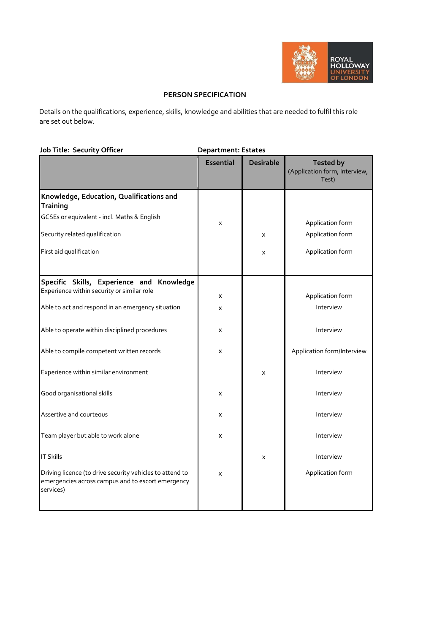

## **PERSON SPECIFICATION**

Details on the qualifications, experience, skills, knowledge and abilities that are needed to fulfil this role are set out below.

| Job Title: Security Officer                                                                                                | <b>Department: Estates</b> |                  |                                                            |  |
|----------------------------------------------------------------------------------------------------------------------------|----------------------------|------------------|------------------------------------------------------------|--|
|                                                                                                                            | <b>Essential</b>           | <b>Desirable</b> | <b>Tested by</b><br>(Application form, Interview,<br>Test) |  |
| Knowledge, Education, Qualifications and<br><b>Training</b>                                                                |                            |                  |                                                            |  |
| GCSEs or equivalent - incl. Maths & English                                                                                | X                          |                  | Application form                                           |  |
| Security related qualification                                                                                             |                            | X                | Application form                                           |  |
| First aid qualification                                                                                                    |                            | X                | Application form                                           |  |
| Specific Skills, Experience and Knowledge                                                                                  |                            |                  |                                                            |  |
| Experience within security or similar role                                                                                 | x                          |                  | Application form                                           |  |
| Able to act and respond in an emergency situation                                                                          | x                          |                  | Interview                                                  |  |
| Able to operate within disciplined procedures                                                                              | x                          |                  | Interview                                                  |  |
| Able to compile competent written records                                                                                  | x                          |                  | Application form/Interview                                 |  |
| Experience within similar environment                                                                                      |                            | X                | Interview                                                  |  |
| Good organisational skills                                                                                                 | x                          |                  | Interview                                                  |  |
| Assertive and courteous                                                                                                    | x                          |                  | Interview                                                  |  |
| Team player but able to work alone                                                                                         | x                          |                  | Interview                                                  |  |
| <b>IT Skills</b>                                                                                                           |                            | X                | Interview                                                  |  |
| Driving licence (to drive security vehicles to attend to<br>emergencies across campus and to escort emergency<br>services) | X                          |                  | Application form                                           |  |
|                                                                                                                            |                            |                  |                                                            |  |